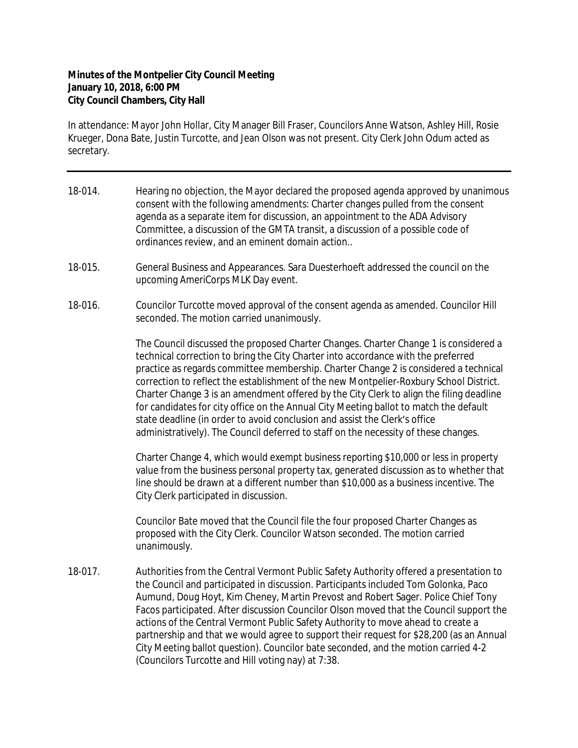## **Minutes of the Montpelier City Council Meeting January 10, 2018, 6:00 PM City Council Chambers, City Hall**

In attendance: Mayor John Hollar, City Manager Bill Fraser, Councilors Anne Watson, Ashley Hill, Rosie Krueger, Dona Bate, Justin Turcotte, and Jean Olson was not present. City Clerk John Odum acted as secretary.

- 18-014. Hearing no objection, the Mayor declared the proposed agenda approved by unanimous consent with the following amendments: Charter changes pulled from the consent agenda as a separate item for discussion, an appointment to the ADA Advisory Committee, a discussion of the GMTA transit, a discussion of a possible code of ordinances review, and an eminent domain action..
- 18-015. General Business and Appearances. Sara Duesterhoeft addressed the council on the upcoming AmeriCorps MLK Day event.
- 18-016. Councilor Turcotte moved approval of the consent agenda as amended. Councilor Hill seconded. The motion carried unanimously.

The Council discussed the proposed Charter Changes. Charter Change 1 is considered a technical correction to bring the City Charter into accordance with the preferred practice as regards committee membership. Charter Change 2 is considered a technical correction to reflect the establishment of the new Montpelier-Roxbury School District. Charter Change 3 is an amendment offered by the City Clerk to align the filing deadline for candidates for city office on the Annual City Meeting ballot to match the default state deadline (in order to avoid conclusion and assist the Clerk's office administratively). The Council deferred to staff on the necessity of these changes.

Charter Change 4, which would exempt business reporting \$10,000 or less in property value from the business personal property tax, generated discussion as to whether that line should be drawn at a different number than \$10,000 as a business incentive. The City Clerk participated in discussion.

Councilor Bate moved that the Council file the four proposed Charter Changes as proposed with the City Clerk. Councilor Watson seconded. The motion carried unanimously.

18-017. Authorities from the Central Vermont Public Safety Authority offered a presentation to the Council and participated in discussion. Participants included Tom Golonka, Paco Aumund, Doug Hoyt, Kim Cheney, Martin Prevost and Robert Sager. Police Chief Tony Facos participated. After discussion Councilor Olson moved that the Council support the actions of the Central Vermont Public Safety Authority to move ahead to create a partnership and that we would agree to support their request for \$28,200 (as an Annual City Meeting ballot question). Councilor bate seconded, and the motion carried 4-2 (Councilors Turcotte and Hill voting nay) at 7:38.